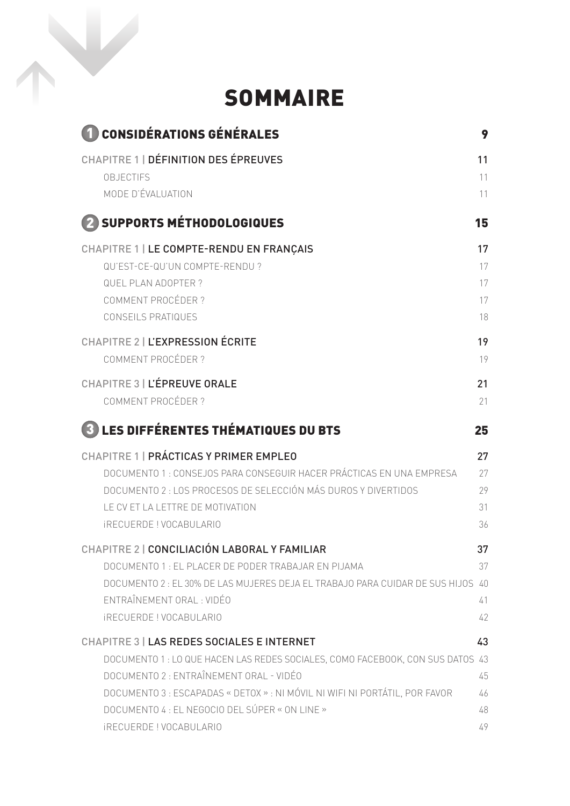## SOMMAIRE

| <b>1 CONSIDÉRATIONS GÉNÉRALES</b>                                                                                                                                                                                                                                                                                                                | 9                          |
|--------------------------------------------------------------------------------------------------------------------------------------------------------------------------------------------------------------------------------------------------------------------------------------------------------------------------------------------------|----------------------------|
| <b>CHAPITRE 1   DÉFINITION DES ÉPREUVES</b>                                                                                                                                                                                                                                                                                                      | 11                         |
| <b>OBJECTIFS</b>                                                                                                                                                                                                                                                                                                                                 | 11                         |
| MODE D'ÉVALUATION                                                                                                                                                                                                                                                                                                                                | 11                         |
| 2 SUPPORTS MÉTHODOLOGIQUES                                                                                                                                                                                                                                                                                                                       | 15                         |
| CHAPITRE 1   LE COMPTE-RENDU EN FRANÇAIS                                                                                                                                                                                                                                                                                                         | 17                         |
| QU'EST-CE-QU'UN COMPTE-RENDU ?                                                                                                                                                                                                                                                                                                                   | 17                         |
| <b>QUEL PLAN ADOPTER?</b>                                                                                                                                                                                                                                                                                                                        | 17                         |
| COMMENT PROCÉDER ?                                                                                                                                                                                                                                                                                                                               | 17                         |
| <b>CONSEILS PRATIQUES</b>                                                                                                                                                                                                                                                                                                                        | 18                         |
| CHAPITRE 2   L'EXPRESSION ÉCRITE                                                                                                                                                                                                                                                                                                                 | 19                         |
| COMMENT PROCÉDER?                                                                                                                                                                                                                                                                                                                                | 19                         |
| CHAPITRE 3   L'ÉPREUVE ORALE                                                                                                                                                                                                                                                                                                                     | 21                         |
| <b>COMMENT PROCÉDER ?</b>                                                                                                                                                                                                                                                                                                                        | 21                         |
| <b>3</b> LES DIFFÉRENTES THÉMATIQUES DU BTS                                                                                                                                                                                                                                                                                                      | 25                         |
| CHAPITRE 1   PRÁCTICAS Y PRIMER EMPLEO                                                                                                                                                                                                                                                                                                           | 27                         |
| DOCUMENTO 1 : CONSEJOS PARA CONSEGUIR HACER PRÁCTICAS EN UNA EMPRESA                                                                                                                                                                                                                                                                             | 27                         |
| DOCUMENTO 2 : LOS PROCESOS DE SELECCIÓN MÁS DUROS Y DIVERTIDOS                                                                                                                                                                                                                                                                                   | 29                         |
| LE CV ET LA LETTRE DE MOTIVATION                                                                                                                                                                                                                                                                                                                 | 31                         |
| <b>IRECUERDE ! VOCABULARIO</b>                                                                                                                                                                                                                                                                                                                   | 36                         |
| CHAPITRE 2   CONCILIACIÓN LABORAL Y FAMILIAR<br>DOCUMENTO 1 : EL PLACER DE PODER TRABAJAR EN PIJAMA<br>DOCUMENTO 2 : EL 30% DE LAS MUJERES DEJA EL TRABAJO PARA CUIDAR DE SUS HIJOS 40<br>ENTRAÎNEMENT ORAL : VIDÉO<br><b>IRECUERDE ! VOCABULARIO</b>                                                                                            | 37<br>37<br>41<br>42       |
| <b>CHAPITRE 3   LAS REDES SOCIALES E INTERNET</b><br>DOCUMENTO 1 : LO QUE HACEN LAS REDES SOCIALES, COMO FACEBOOK, CON SUS DATOS 43<br>DOCUMENTO 2 : ENTRAÎNEMENT ORAL - VIDÉO<br>DOCUMENTO 3 : ESCAPADAS « DETOX » : NI MÓVIL NI WIFI NI PORTÁTIL, POR FAVOR<br>DOCUMENTO 4 : EL NEGOCIO DEL SÚPER « ON LINE »<br><b>IRECUERDE! VOCABULARIO</b> | 43<br>45<br>46<br>48<br>49 |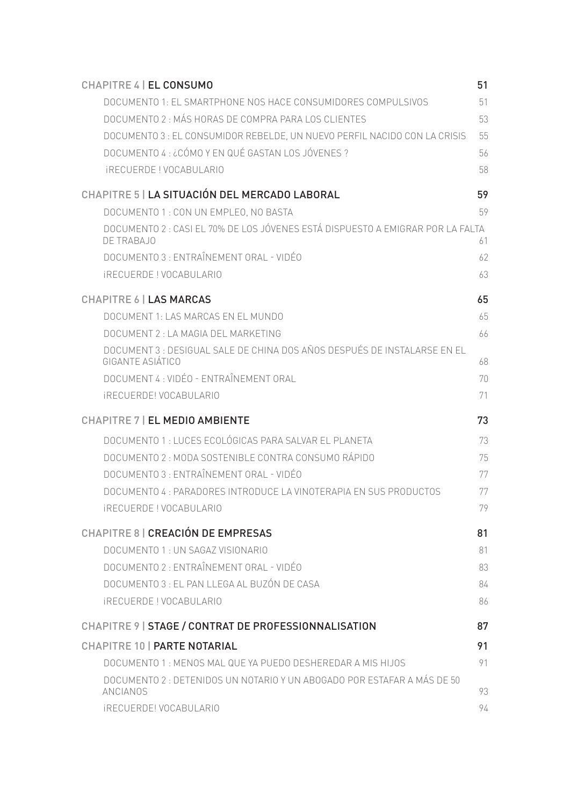| CHAPITRE 4   EL CONSUMO                                                                      | 51       |
|----------------------------------------------------------------------------------------------|----------|
| DOCUMENTO 1: EL SMARTPHONE NOS HACE CONSUMIDORES COMPULSIVOS                                 | 51       |
| DOCUMENTO 2 : MÁS HORAS DE COMPRA PARA LOS CLIENTES                                          | 53       |
| DOCUMENTO 3 : EL CONSUMIDOR REBELDE, UN NUEVO PERFIL NACIDO CON LA CRISIS                    | 55       |
| DOCUMENTO 4 : ¿CÓMO Y EN QUÉ GASTAN LOS JÓVENES ?                                            | 56       |
| <i><b>IRECUERDE! VOCABULARIO</b></i>                                                         | 58       |
| CHAPITRE 5   LA SITUACIÓN DEL MERCADO LABORAL                                                | 59       |
| DOCUMENTO 1 : CON UN EMPLEO, NO BASTA                                                        | 59       |
| DOCUMENTO 2 : CASI EL 70% DE LOS JÓVENES ESTÁ DISPUESTO A EMIGRAR POR LA FALTA<br>DE TRABAJO | 61       |
| DOCUMENTO 3 : ENTRAÎNEMENT ORAL - VIDÉO                                                      | 62       |
| <b>IRECUERDE! VOCABULARIO</b>                                                                | 63       |
| <b>CHAPITRE 6   LAS MARCAS</b>                                                               | 65       |
| DOCUMENT 1   AS MARCAS EN EL MUNDO                                                           | 65       |
| DOCUMENT 2 : LA MAGIA DEL MARKETING                                                          | 66       |
| DOCUMENT 3 : DESIGUAL SALE DE CHINA DOS AÑOS DESPUÉS DE INSTALARSE EN EL<br>GIGANTE ASIÁTICO | 68       |
| DOCUMENT 4 : VIDÉO - ENTRAÎNEMENT ORAL                                                       | 70       |
| <b>IRECUERDE! VOCABULARIO</b>                                                                | 71       |
| CHAPITRE 7   EL MEDIO AMBIENTE                                                               | 73       |
| DOCUMENTO 1 : LUCES ECOLÓGICAS PARA SALVAR EL PLANETA                                        |          |
| DOCUMENTO 2: MODA SOSTENIBLE CONTRA CONSUMO RÁPIDO                                           | 73<br>75 |
| DOCUMENTO 3 : ENTRAÎNEMENT ORAL - VIDÉO                                                      | 77       |
| DOCUMENTO 4 : PARADORES INTRODUCE LA VINOTERAPIA EN SUS PRODUCTOS                            | 77       |
| <b>IRECUERDE! VOCABULARIO</b>                                                                | 79       |
| CHAPITRE 8   CREACIÓN DE EMPRESAS                                                            | 81       |
| DOCUMENTO 1 : UN SAGAZ VISIONARIO                                                            | 81       |
| DOCUMENTO 2 : ENTRAÎNEMENT ORAL - VIDÉO                                                      | 83       |
| DOCUMENTO 3 : EL PAN LLEGA AL BUZÓN DE CASA                                                  | 84       |
| <b>IRECUERDE ! VOCABULARIO</b>                                                               | 86       |
| CHAPITRE 9   STAGE / CONTRAT DE PROFESSIONNALISATION                                         | 87       |
| <b>CHAPITRE 10   PARTE NOTARIAL</b>                                                          | 91       |
| DOCUMENTO 1: MENOS MAL QUE YA PUEDO DESHEREDAR A MIS HIJOS                                   | 91       |
| DOCUMENTO 2 : DETENIDOS UN NOTARIO Y UN ABOGADO POR ESTAFAR A MÁS DE 50<br>ANCIANOS          | 93       |
| <b>IRECUERDE! VOCABULARIO</b>                                                                | 94       |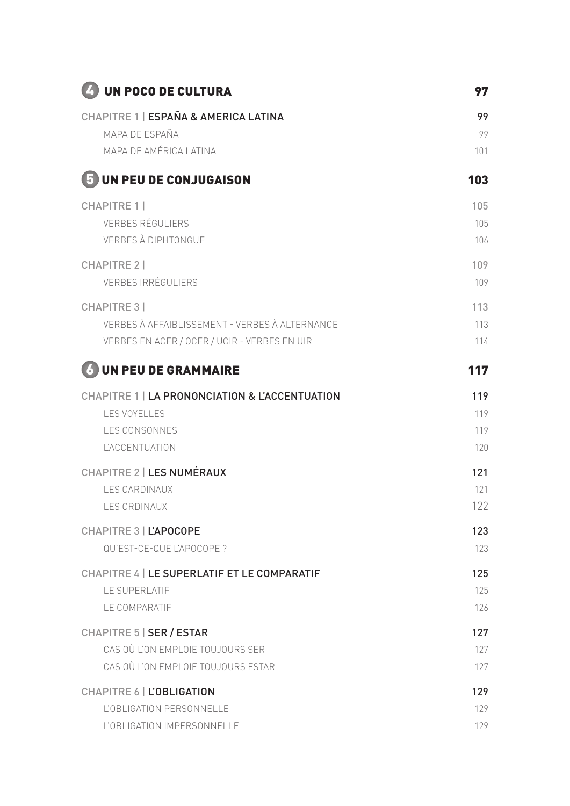| 4 UN POCO DE CULTURA                               | 97  |
|----------------------------------------------------|-----|
| CHAPITRE 1   ESPAÑA & AMERICA LATINA               | 99  |
| MAPA DE ESPAÑA                                     | 99  |
| MAPA DE AMÉRICA LATINA                             | 101 |
| 5 UN PEU DE CONJUGAISON                            | 103 |
| <b>CHAPITRE 1</b>                                  | 105 |
| <b>VERBES RÉGULIERS</b>                            | 105 |
| <b>VERBES À DIPHTONGUE</b>                         | 106 |
| <b>CHAPITRE 2  </b>                                | 109 |
| <b>VERBES IRRÉGULIERS</b>                          | 109 |
| <b>CHAPITRE 3</b>                                  | 113 |
| VERBES À AFFAIBLISSEMENT - VERBES À ALTERNANCE     | 113 |
| VERBES EN ACER / OCER / UCIR - VERBES EN UIR       | 114 |
| <b>6 UN PEU DE GRAMMAIRE</b>                       | 117 |
| CHAPITRE 1   LA PRONONCIATION & L'ACCENTUATION     | 119 |
| <b>LES VOYELLES</b>                                | 119 |
| <b>LES CONSONNES</b>                               | 119 |
| <b>L'ACCENTUATION</b>                              | 120 |
| <b>CHAPITRE 2   LES NUMÉRAUX</b>                   | 121 |
| <b>LES CARDINAUX</b>                               | 121 |
| LES ORDINAUX                                       | 122 |
| <b>CHAPITRE 3   L'APOCOPE</b>                      | 123 |
| QU'EST-CE-QUE L'APOCOPE ?                          | 123 |
| <b>CHAPITRE 4   LE SUPERLATIF ET LE COMPARATIF</b> | 125 |
| LE SUPERLATIF                                      | 125 |
| LE COMPARATIF                                      | 126 |
| <b>CHAPITRE 5   SER / ESTAR</b>                    | 127 |
| CAS OÙ L'ON EMPLOIE TOUJOURS SER                   | 127 |
| CAS OÙ L'ON EMPLOIE TOUJOURS ESTAR                 | 127 |
| CHAPITRE 6   L'OBLIGATION                          | 129 |
| L'OBLIGATION PERSONNELLE                           | 129 |
| L'OBLIGATION IMPERSONNELLE                         | 129 |